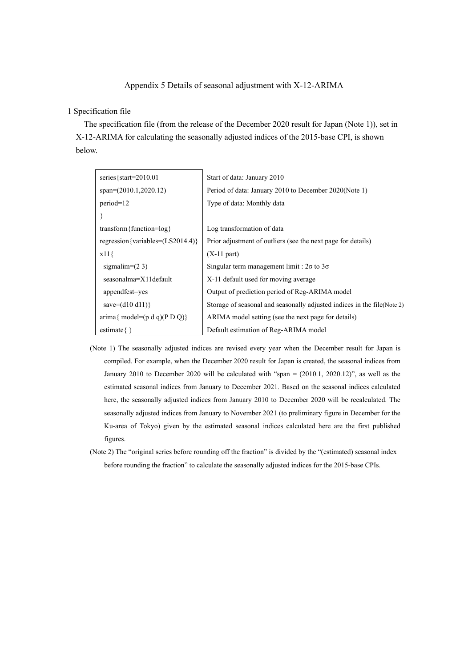## Appendix 5 Details of seasonal adjustment with X-12-ARIMA

## 1 Specification file

The specification file (from the release of the December 2020 result for Japan (Note 1)), set in X-12-ARIMA for calculating the seasonally adjusted indices of the 2015-base CPI, is shown below.

| series {start= $2010.01$                                          | Start of data: January 2010                                              |
|-------------------------------------------------------------------|--------------------------------------------------------------------------|
|                                                                   |                                                                          |
| $span=(2010.1,2020.12)$                                           | Period of data: January 2010 to December 2020(Note 1)                    |
| $period=12$                                                       | Type of data: Monthly data                                               |
|                                                                   |                                                                          |
| transform { function= $log$ }                                     | Log transformation of data                                               |
| regression {variables= $(LS2014.4)$ }                             | Prior adjustment of outliers (see the next page for details)             |
| $x11\}$                                                           | $(X-11$ part)                                                            |
| sigmalim= $(2 3)$                                                 | Singular term management limit : $2\sigma$ to $3\sigma$                  |
| seasonalma=X11default                                             | X-11 default used for moving average                                     |
| appendfcst=yes                                                    | Output of prediction period of Reg-ARIMA model                           |
| save= $(d10 d11)$ }                                               | Storage of seasonal and seasonally adjusted indices in the file (Note 2) |
| $\text{arima} \{ \text{ model} = (\text{p d q})(\text{P D Q}) \}$ | ARIMA model setting (see the next page for details)                      |
| estimate $\{\}$                                                   | Default estimation of Reg-ARIMA model                                    |

- (Note 1) The seasonally adjusted indices are revised every year when the December result for Japan is compiled. For example, when the December 2020 result for Japan is created, the seasonal indices from January 2010 to December 2020 will be calculated with "span = (2010.1, 2020.12)", as well as the estimated seasonal indices from January to December 2021. Based on the seasonal indices calculated here, the seasonally adjusted indices from January 2010 to December 2020 will be recalculated. The seasonally adjusted indices from January to November 2021 (to preliminary figure in December for the Ku-area of Tokyo) given by the estimated seasonal indices calculated here are the first published figures.
- (Note 2) The "original series before rounding off the fraction" is divided by the "(estimated) seasonal index before rounding the fraction" to calculate the seasonally adjusted indices for the 2015-base CPIs.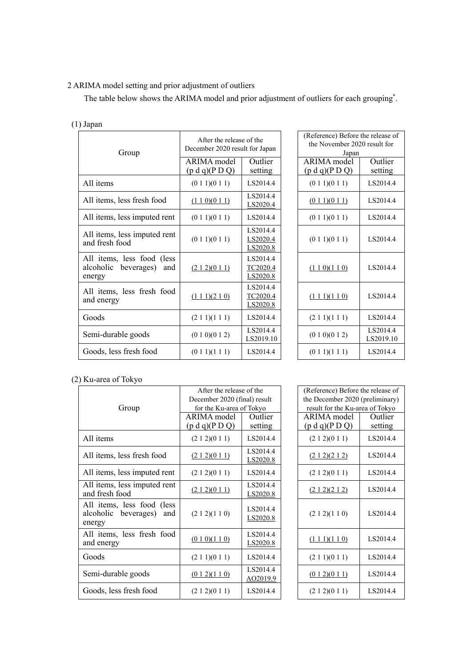## 2 ARIMA model setting and prior adjustment of outliers

The table below shows the ARIMA model and prior adjustment of outliers for each grouping<sup>\*</sup>.

| $(1)$ Japan                                                            |                                                            |                                  |                                                                            |                       |  |
|------------------------------------------------------------------------|------------------------------------------------------------|----------------------------------|----------------------------------------------------------------------------|-----------------------|--|
| Group                                                                  | After the release of the<br>December 2020 result for Japan |                                  | (Reference) Before the release of<br>the November 2020 result for<br>Japan |                       |  |
|                                                                        | <b>ARIMA</b> model<br>(p d q)(P D Q)                       | Outlier<br>setting               | ARIMA model<br>(p d q)(P D Q)                                              | Outlier<br>setting    |  |
| All items                                                              | (0 1 1)(0 1 1)                                             | LS2014.4                         | (0 1 1)(0 1 1)                                                             | LS2014.4              |  |
| All items, less fresh food                                             | (110)(011)                                                 | LS2014.4<br>LS2020.4             | (011)(011)                                                                 | LS2014.4              |  |
| All items, less imputed rent                                           | (0 1 1)(0 1 1)                                             | LS2014.4                         | (0 1 1)(0 1 1)                                                             | LS2014.4              |  |
| All items, less imputed rent<br>and fresh food                         | (0 1 1)(0 1 1)                                             | LS2014.4<br>LS2020.4<br>LS2020.8 | (0 1 1)(0 1 1)                                                             | LS2014.4              |  |
| All items, less food (less<br>alcoholic<br>beverages)<br>and<br>energy | (212)(011)                                                 | LS2014.4<br>TC2020.4<br>LS2020.8 | (110)(110)                                                                 | LS2014.4              |  |
| All items, less fresh food<br>and energy                               | $(1\ 1\ 1)(2\ 1\ 0)$                                       | LS2014.4<br>TC2020.4<br>LS2020.8 | $(1\ 1\ 1)(1\ 1\ 0)$                                                       | LS2014.4              |  |
| Goods                                                                  | (2 1 1)(1 1 1)                                             | LS2014.4                         | (2 1 1)(1 1 1)                                                             | LS2014.4              |  |
| Semi-durable goods                                                     | (0 1 0)(0 1 2)                                             | LS2014.4<br>LS2019.10            | (0 1 0)(0 1 2)                                                             | LS2014.4<br>LS2019.10 |  |
| Goods, less fresh food                                                 | (0 1 1)(1 1 1)                                             | LS2014.4                         | (0 1 1)(1 1 1)                                                             | LS2014.4              |  |

| of the<br>t for Japan            | (Reference) Before the release of<br>the November 2020 result for<br>Japan |                       |  |  |  |
|----------------------------------|----------------------------------------------------------------------------|-----------------------|--|--|--|
| Outlier<br>setting               | <b>ARIMA</b> model<br>(p d q)(P D Q)                                       | Outlier<br>setting    |  |  |  |
| LS2014.4                         | (0 1 1)(0 1 1)                                                             | LS2014.4              |  |  |  |
| LS2014.4<br>LS2020.4             | (011)(011)                                                                 | LS2014.4              |  |  |  |
| LS2014.4                         | (0 1 1)(0 1 1)                                                             | LS2014.4              |  |  |  |
| LS2014.4<br>LS2020.4<br>LS2020.8 | (0 1 1)(0 1 1)                                                             | LS2014.4              |  |  |  |
| LS2014.4<br>TC2020.4<br>LS2020.8 | (110)(110)                                                                 | LS2014.4              |  |  |  |
| LS2014.4<br>TC2020.4<br>LS2020.8 | (111)(110)                                                                 | LS2014.4              |  |  |  |
| LS2014.4                         | (2 1 1)(1 1 1)                                                             | LS2014.4              |  |  |  |
| LS2014.4<br>LS2019.10            | (0 1 0)(0 1 2)                                                             | LS2014.4<br>LS2019.10 |  |  |  |
| LS2014.4                         | (0 1 1)(1 1 1)                                                             | LS2014.4              |  |  |  |

## (2) Ku-area of Tokyo

| Group                                                            | After the release of the<br>December 2020 (final) result<br>for the Ku-area of Tokyo |                      | (Reference) Before the release of<br>the December 2020 (preliminary<br>result for the Ku-area of Tokyo |                    |
|------------------------------------------------------------------|--------------------------------------------------------------------------------------|----------------------|--------------------------------------------------------------------------------------------------------|--------------------|
|                                                                  | ARIMA model<br>(p d q)(P D Q)                                                        | Outlier<br>setting   | ARIMA model<br>(p d q)(P D Q)                                                                          | Outlier<br>setting |
| All items                                                        | (2 1 2)(0 1 1)                                                                       | LS2014.4             | (2 1 2)(0 1 1)                                                                                         | LS2014.4           |
| All items, less fresh food                                       | (212)(011)                                                                           | LS2014.4<br>LS2020.8 | (212)(212)                                                                                             | LS2014.4           |
| All items, less imputed rent                                     | (2 1 2)(0 1 1)                                                                       | LS2014.4             | (2 1 2)(0 1 1)                                                                                         | LS2014.4           |
| All items, less imputed rent<br>and fresh food                   | (212)(011)                                                                           | LS2014.4<br>LS2020.8 | (212)(212)                                                                                             | LS2014.4           |
| All items, less food (less<br>alcoholic beverages) and<br>energy | (2 1 2)(1 1 0)                                                                       | LS2014.4<br>LS2020.8 | (2 1 2)(1 1 0)                                                                                         | LS2014.4           |
| All items, less fresh food<br>and energy                         | (0 1 0)(1 1 0)                                                                       | LS2014.4<br>LS2020.8 | $(1\ 1\ 1)(1\ 1\ 0)$                                                                                   | LS2014.4           |
| Goods                                                            | (2 1 1)(0 1 1)                                                                       | LS2014.4             | (2 1 1)(0 1 1)                                                                                         | LS2014.4           |
| Semi-durable goods                                               | (012)(110)                                                                           | LS2014.4<br>AO2019.9 | (012)(011)                                                                                             | LS2014.4           |
| Goods, less fresh food                                           | (2 1 2)(0 1 1)                                                                       | LS2014.4             | (2 1 2)(0 1 1)                                                                                         | LS2014.4           |

| of the               | (Reference) Before the release of |          |  |  |  |
|----------------------|-----------------------------------|----------|--|--|--|
| al) result           | the December 2020 (preliminary)   |          |  |  |  |
| `Tokyo               | result for the Ku-area of Tokyo   |          |  |  |  |
| Outlier              | ARIMA model<br>Outlier            |          |  |  |  |
| setting              | (p d q)(P D Q)                    | setting  |  |  |  |
| LS2014.4             | (2 1 2)(0 1 1)                    | LS2014.4 |  |  |  |
| LS2014.4             |                                   |          |  |  |  |
| LS2020.8             | (212)(212)                        | LS2014.4 |  |  |  |
| LS2014.4             | (2 1 2)(0 1 1)                    | LS2014.4 |  |  |  |
| LS2014.4             |                                   | LS2014.4 |  |  |  |
| LS2020.8             | (212)(212)                        |          |  |  |  |
| LS2014.4<br>LS2020.8 | (2 1 2)(1 1 0)                    | LS2014.4 |  |  |  |
| LS2014.4             | $(1\ 1\ 1)(1\ 1\ 0)$              | LS2014.4 |  |  |  |
| LS2020.8             |                                   |          |  |  |  |
| LS2014.4             | (2 1 1)(0 1 1)                    | LS2014.4 |  |  |  |
| LS2014.4             | (012)(011)                        | LS2014.4 |  |  |  |
| <u>AO2019.9</u>      |                                   |          |  |  |  |
| LS2014.4             | (212)(011)                        | LS2014.4 |  |  |  |